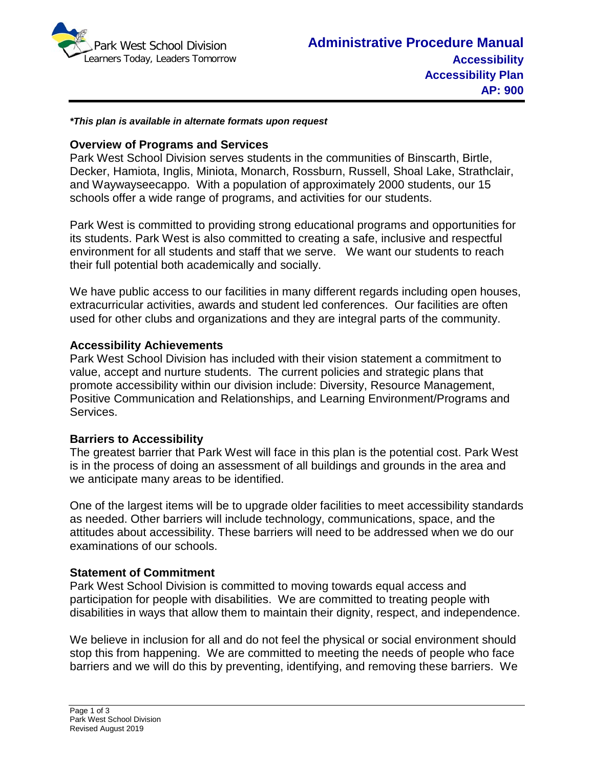

*\*This plan is available in alternate formats upon request*

### **Overview of Programs and Services**

Park West School Division serves students in the communities of Binscarth, Birtle, Decker, Hamiota, Inglis, Miniota, Monarch, Rossburn, Russell, Shoal Lake, Strathclair, and Waywayseecappo. With a population of approximately 2000 students, our 15 schools offer a wide range of programs, and activities for our students.

Park West is committed to providing strong educational programs and opportunities for its students. Park West is also committed to creating a safe, inclusive and respectful environment for all students and staff that we serve. We want our students to reach their full potential both academically and socially.

We have public access to our facilities in many different regards including open houses, extracurricular activities, awards and student led conferences. Our facilities are often used for other clubs and organizations and they are integral parts of the community.

# **Accessibility Achievements**

Park West School Division has included with their vision statement a commitment to value, accept and nurture students. The current policies and strategic plans that promote accessibility within our division include: Diversity, Resource Management, Positive Communication and Relationships, and Learning Environment/Programs and Services.

# **Barriers to Accessibility**

The greatest barrier that Park West will face in this plan is the potential cost. Park West is in the process of doing an assessment of all buildings and grounds in the area and we anticipate many areas to be identified.

One of the largest items will be to upgrade older facilities to meet accessibility standards as needed. Other barriers will include technology, communications, space, and the attitudes about accessibility. These barriers will need to be addressed when we do our examinations of our schools.

#### **Statement of Commitment**

Park West School Division is committed to moving towards equal access and participation for people with disabilities. We are committed to treating people with disabilities in ways that allow them to maintain their dignity, respect, and independence.

We believe in inclusion for all and do not feel the physical or social environment should stop this from happening. We are committed to meeting the needs of people who face barriers and we will do this by preventing, identifying, and removing these barriers. We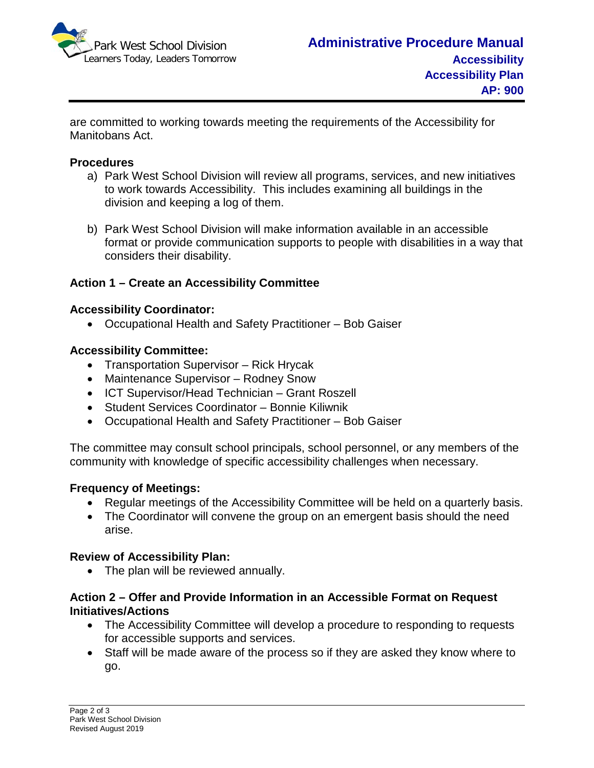

are committed to working towards meeting the requirements of the Accessibility for Manitobans Act.

### **Procedures**

- a) Park West School Division will review all programs, services, and new initiatives to work towards Accessibility. This includes examining all buildings in the division and keeping a log of them.
- b) Park West School Division will make information available in an accessible format or provide communication supports to people with disabilities in a way that considers their disability.

# **Action 1 – Create an Accessibility Committee**

### **Accessibility Coordinator:**

• Occupational Health and Safety Practitioner – Bob Gaiser

### **Accessibility Committee:**

- Transportation Supervisor Rick Hrycak
- Maintenance Supervisor Rodney Snow
- ICT Supervisor/Head Technician Grant Roszell
- Student Services Coordinator Bonnie Kiliwnik
- Occupational Health and Safety Practitioner Bob Gaiser

The committee may consult school principals, school personnel, or any members of the community with knowledge of specific accessibility challenges when necessary.

# **Frequency of Meetings:**

- Regular meetings of the Accessibility Committee will be held on a quarterly basis.
- The Coordinator will convene the group on an emergent basis should the need arise.

#### **Review of Accessibility Plan:**

• The plan will be reviewed annually.

# **Action 2 – Offer and Provide Information in an Accessible Format on Request Initiatives/Actions**

- The Accessibility Committee will develop a procedure to responding to requests for accessible supports and services.
- Staff will be made aware of the process so if they are asked they know where to go.